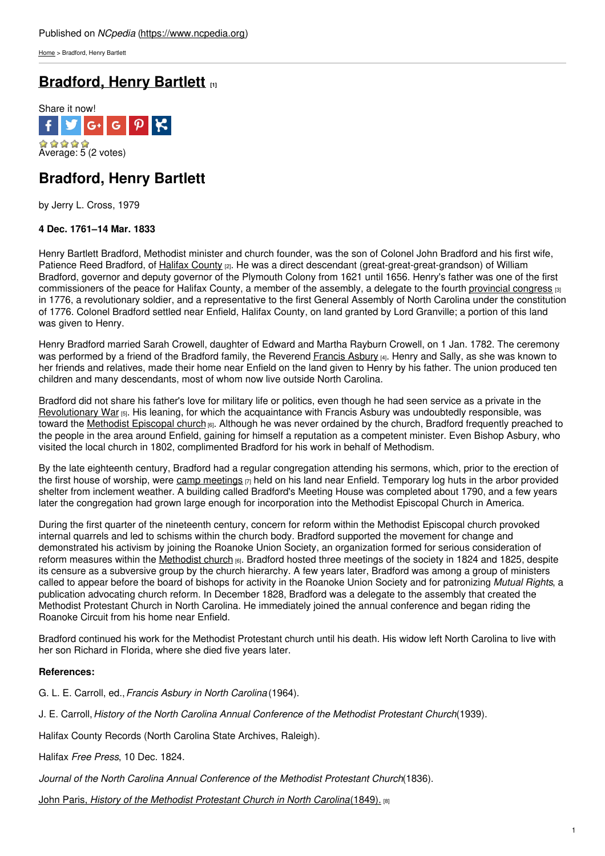[Home](https://www.ncpedia.org/) > Bradford, Henry Bartlett

# **[Bradford,](https://www.ncpedia.org/biography/bradford-henry-bartlett) Henry Bartlett [1]**



# **Bradford, Henry Bartlett**

by Jerry L. Cross, 1979

## **4 Dec. 1761–14 Mar. 1833**

Henry Bartlett Bradford, Methodist minister and church founder, was the son of Colonel John Bradford and his first wife, Patience Reed Bradford, of Halifax [County](https://www.ncpedia.org/geography/halifax) [2]. He was a direct descendant (great-great-great-grandson) of William Bradford, governor and deputy governor of the [Plymouth](http://www.social9.com) Colony from 1621 until 1656. Henry's father was one of the first commissioners of the peace for Halifax County, a member of the assembly, a delegate to the fourth [provincial](https://www.ncpedia.org/provincial-congresses) congress [3] in 1776, a revolutionary soldier, and a representative to the first General Assembly of North Carolina under the constitution of 1776. Colonel Bradford settled near Enfield, Halifax County, on land granted by Lord Granville; a portion of this land was given to Henry.

Henry Bradford married Sarah Crowell, daughter of Edward and Martha Rayburn Crowell, on 1 Jan. 1782. The ceremony was performed by a friend of the Bradford family, the Reverend [Francis](https://www.ncpedia.org/biography/asbury-francis) Asbury [4]. Henry and Sally, as she was known to her friends and relatives, made their home near Enfield on the land given to Henry by his father. The union produced ten children and many descendants, most of whom now live outside North Carolina.

Bradford did not share his father's love for military life or politics, even though he had seen service as a private in the [Revolutionary](https://www.ncpedia.org/american-revolution) War [5]. His leaning, for which the acquaintance with Francis Asbury was undoubtedly responsible, was toward the Methodist [Episcopal](https://www.ncpedia.org/methodist-church) church [6]. Although he was never ordained by the church, Bradford frequently preached to the people in the area around Enfield, gaining for himself a reputation as a competent minister. Even Bishop Asbury, who visited the local church in 1802, complimented Bradford for his work in behalf of Methodism.

By the late eighteenth century, Bradford had a regular congregation attending his sermons, which, prior to the erection of the first house of worship, were camp [meetings](https://www.ncpedia.org/camp-meetings)  $\vert\eta\vert$  held on his land near Enfield. Temporary log huts in the arbor provided shelter from inclement weather. A building called Bradford's Meeting House was completed about 1790, and a few years later the congregation had grown large enough for incorporation into the Methodist Episcopal Church in America.

During the first quarter of the nineteenth century, concern for reform within the Methodist Episcopal church provoked internal quarrels and led to schisms within the church body. Bradford supported the movement for change and demonstrated his activism by joining the Roanoke Union Society, an organization formed for serious consideration of reform measures within the [Methodist](https://www.ncpedia.org/methodist-church) church [6]. Bradford hosted three meetings of the society in 1824 and 1825, despite its censure as a subversive group by the church hierarchy. A few years later, Bradford was among a group of ministers called to appear before the board of bishops for activity in the Roanoke Union Society and for patronizing *Mutual Rights*, a publication advocating church reform. In December 1828, Bradford was a delegate to the assembly that created the Methodist Protestant Church in North Carolina. He immediately joined the annual conference and began riding the Roanoke Circuit from his home near Enfield.

Bradford continued his work for the Methodist Protestant church until his death. His widow left North Carolina to live with her son Richard in Florida, where she died five years later.

### **References:**

G. L. E. Carroll, ed.,*Francis Asbury in North Carolina* (1964).

J. E. Carroll,*History of the North Carolina Annual Conference of the Methodist Protestant Church*(1939).

Halifax County Records (North Carolina State Archives, Raleigh).

Halifax *Free Press*, 10 Dec. 1824.

*Journal of the North Carolina Annual Conference of the Methodist Protestant Church*(1836).

John Paris, *History of the Methodist [Protestant](https://archive.org/details/historyofmethodi00pari) Church in North Carolina*(1849). [8]